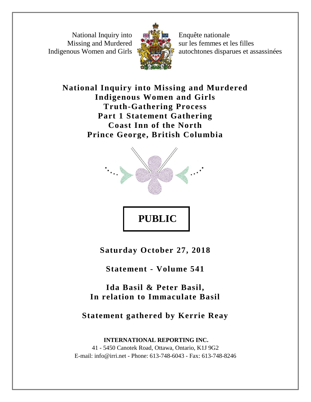National Inquiry into Missing and Murdered Indigenous Women and Girls



Enquête nationale sur les femmes et les filles autochtones disparues et assassinées

**National Inquiry into Missing and Murdered Indigenous Women and Girls Truth-Gathering Process Part 1 Statement Gathering Coast Inn of the North Prince George, British Columbia**



**Saturday October 27, 2018**

**Statement - Volume 541**

**Ida Basil & Peter Basil, In relation to Immaculate Basil**

**Statement gathered by Kerrie Reay**

**INTERNATIONAL REPORTING INC.** 41 - 5450 Canotek Road, Ottawa, Ontario, K1J 9G2 E-mail: info@irri.net - Phone: 613-748-6043 - Fax: 613-748-8246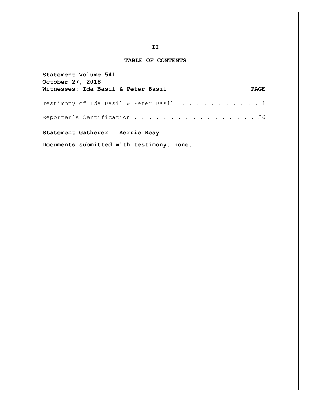## **TABLE OF CONTENTS**

| Statement Volume 541<br><b>October 27, 2018</b>                    |             |
|--------------------------------------------------------------------|-------------|
| Witnesses: Ida Basil & Peter Basil                                 | <b>PAGE</b> |
| Testimony of Ida Basil & Peter Basil $\ldots \ldots \ldots \ldots$ |             |
| Reporter's Certification 26                                        |             |
| Statement Gatherer: Kerrie Reay                                    |             |

**Documents submitted with testimony: none.**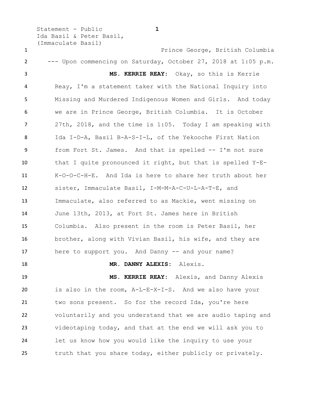Statement - Public **1** Ida Basil & Peter Basil, (Immaculate Basil) Prince George, British Columbia --- Upon commencing on Saturday, October 27, 2018 at 1:05 p.m. **MS. KERRIE REAY:** Okay, so this is Kerrie Reay, I'm a statement taker with the National Inquiry into Missing and Murdered Indigenous Women and Girls. And today we are in Prince George, British Columbia. It is October 27th, 2018, and the time is 1:05. Today I am speaking with Ida I-D-A, Basil B-A-S-I-L, of the Yekooche First Nation from Fort St. James. And that is spelled -- I'm not sure that I quite pronounced it right, but that is spelled Y-E- K-O-O-C-H-E. And Ida is here to share her truth about her sister, Immaculate Basil, I-M-M-A-C-U-L-A-T-E, and Immaculate, also referred to as Mackie, went missing on June 13th, 2013, at Fort St. James here in British Columbia. Also present in the room is Peter Basil, her brother, along with Vivian Basil, his wife, and they are 17 here to support you. And Danny -- and your name? **MR. DANNY ALEXIS:** Alexis.

 **MS. KERRIE REAY:** Alexis, and Danny Alexis is also in the room, A-L-E-X-I-S. And we also have your two sons present. So for the record Ida, you're here voluntarily and you understand that we are audio taping and videotaping today, and that at the end we will ask you to let us know how you would like the inquiry to use your truth that you share today, either publicly or privately.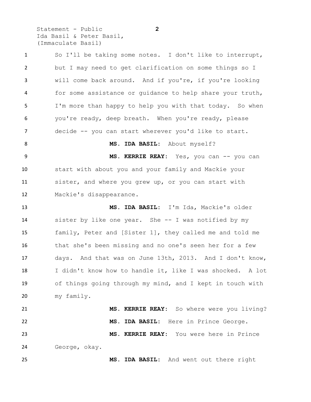Statement - Public **2** Ida Basil & Peter Basil, (Immaculate Basil)

 So I'll be taking some notes. I don't like to interrupt, but I may need to get clarification on some things so I will come back around. And if you're, if you're looking for some assistance or guidance to help share your truth, I'm more than happy to help you with that today. So when you're ready, deep breath. When you're ready, please decide -- you can start wherever you'd like to start. 8 MS. IDA BASIL: About myself? 9 MS. KERRIE REAY: Yes, you can -- you can start with about you and your family and Mackie your sister, and where you grew up, or you can start with Mackie's disappearance. **MS. IDA BASIL:** I'm Ida, Mackie's older sister by like one year. She -- I was notified by my family, Peter and [Sister 1], they called me and told me that she's been missing and no one's seen her for a few days. And that was on June 13th, 2013. And I don't know, I didn't know how to handle it, like I was shocked. A lot of things going through my mind, and I kept in touch with my family. **MS. KERRIE REAY:** So where were you living? **MS. IDA BASIL:** Here in Prince George. **MS. KERRIE REAY:** You were here in Prince George, okay. **MS. IDA BASIL:** And went out there right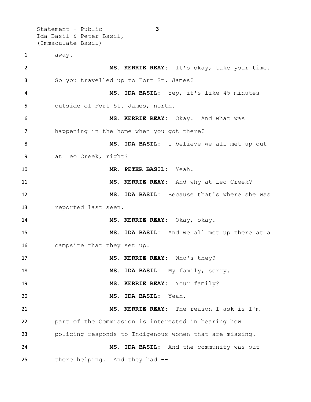Statement - Public **3** Ida Basil & Peter Basil, (Immaculate Basil) away. **MS. KERRIE REAY:** It's okay, take your time. So you travelled up to Fort St. James? **MS. IDA BASIL:** Yep, it's like 45 minutes outside of Fort St. James, north. **MS. KERRIE REAY:** Okay. And what was happening in the home when you got there? **MS. IDA BASIL:** I believe we all met up out at Leo Creek, right? **MR. PETER BASIL:** Yeah. **MS. KERRIE REAY:** And why at Leo Creek? **MS. IDA BASIL:** Because that's where she was reported last seen. **MS. KERRIE REAY:** Okay, okay. **MS. IDA BASIL:** And we all met up there at a campsite that they set up. **MS. KERRIE REAY:** Who's they? **MS. IDA BASIL:** My family, sorry. **MS. KERRIE REAY:** Your family? **MS. IDA BASIL:** Yeah. **MS. KERRIE REAY:** The reason I ask is I'm -- part of the Commission is interested in hearing how policing responds to Indigenous women that are missing. **MS. IDA BASIL:** And the community was out there helping. And they had --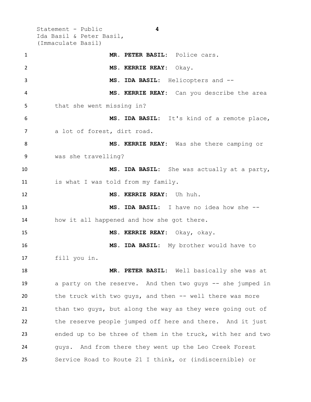Statement - Public **4** Ida Basil & Peter Basil, (Immaculate Basil)

 **MR. PETER BASIL:** Police cars. **MS. KERRIE REAY:** Okay. **MS. IDA BASIL:** Helicopters and -- **MS. KERRIE REAY:** Can you describe the area that she went missing in? **MS. IDA BASIL:** It's kind of a remote place, 7 a lot of forest, dirt road. **MS. KERRIE REAY:** Was she there camping or was she travelling? **MS. IDA BASIL:** She was actually at a party, 11 is what I was told from my family. **MS. KERRIE REAY:** Uh huh. **MS. IDA BASIL:** I have no idea how she -- how it all happened and how she got there. **MS. KERRIE REAY:** Okay, okay. **MS. IDA BASIL:** My brother would have to fill you in. **MR. PETER BASIL:** Well basically she was at a party on the reserve. And then two guys -- she jumped in the truck with two guys, and then -- well there was more than two guys, but along the way as they were going out of the reserve people jumped off here and there. And it just ended up to be three of them in the truck, with her and two guys. And from there they went up the Leo Creek Forest Service Road to Route 21 I think, or (indiscernible) or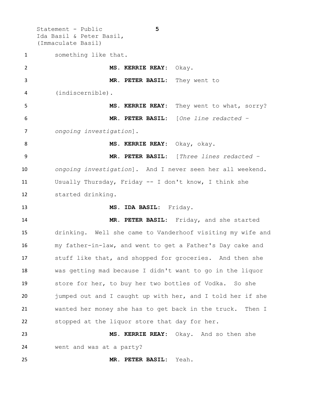Statement - Public **5** Ida Basil & Peter Basil, (Immaculate Basil) something like that. **MS. KERRIE REAY:** Okay. **MR. PETER BASIL:** They went to (indiscernible). **MS. KERRIE REAY:** They went to what, sorry? **MR. PETER BASIL:** [*One line redacted – ongoing investigation*]. **MS. KERRIE REAY:** Okay, okay. **MR. PETER BASIL:** [*Three lines redacted – ongoing investigation*]. And I never seen her all weekend. Usually Thursday, Friday -- I don't know, I think she started drinking. **MS. IDA BASIL:** Friday. **MR. PETER BASIL:** Friday, and she started drinking. Well she came to Vanderhoof visiting my wife and my father-in-law, and went to get a Father's Day cake and stuff like that, and shopped for groceries. And then she was getting mad because I didn't want to go in the liquor store for her, to buy her two bottles of Vodka. So she jumped out and I caught up with her, and I told her if she wanted her money she has to get back in the truck. Then I stopped at the liquor store that day for her. **MS. KERRIE REAY:** Okay. And so then she went and was at a party?

**MR. PETER BASIL:** Yeah.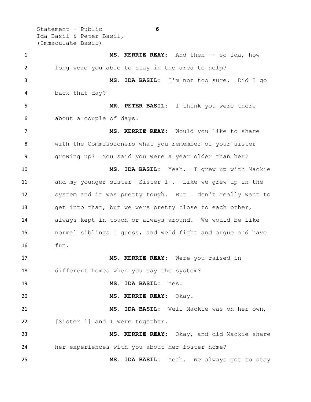Statement - Public **6** Ida Basil & Peter Basil, (Immaculate Basil)

 **MS. KERRIE REAY:** And then -- so Ida, how long were you able to stay in the area to help? **MS. IDA BASIL:** I'm not too sure. Did I go back that day? **MR. PETER BASIL:** I think you were there about a couple of days. **MS. KERRIE REAY:** Would you like to share with the Commissioners what you remember of your sister growing up? You said you were a year older than her? **MS. IDA BASIL:** Yeah. I grew up with Mackie and my younger sister [Sister 1]. Like we grew up in the system and it was pretty tough. But I don't really want to get into that, but we were pretty close to each other, always kept in touch or always around. We would be like normal siblings I guess, and we'd fight and argue and have fun. **MS. KERRIE REAY:** Were you raised in different homes when you say the system? **MS. IDA BASIL:** Yes. **MS. KERRIE REAY:** Okay. **MS. IDA BASIL:** Well Mackie was on her own, 22 [Sister 1] and I were together. **MS. KERRIE REAY:** Okay, and did Mackie share her experiences with you about her foster home? **MS. IDA BASIL:** Yeah. We always got to stay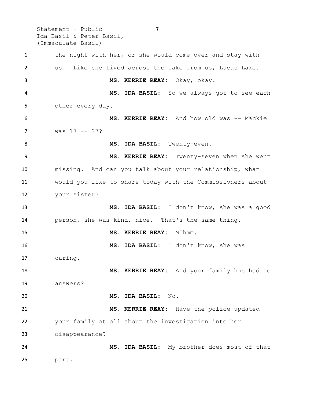Statement - Public **7** Ida Basil & Peter Basil, (Immaculate Basil) 1 the night with her, or she would come over and stay with us. Like she lived across the lake from us, Lucas Lake. **MS. KERRIE REAY:** Okay, okay. **MS. IDA BASIL:** So we always got to see each other every day. **MS. KERRIE REAY:** And how old was -- Mackie was 17 -- 27? 8 MS. IDA BASIL: Twenty-even. **MS. KERRIE REAY:** Twenty-seven when she went missing. And can you talk about your relationship, what would you like to share today with the Commissioners about your sister? **MS. IDA BASIL:** I don't know, she was a good person, she was kind, nice. That's the same thing. **MS. KERRIE REAY:** M'hmm. **MS. IDA BASIL:** I don't know, she was caring. **MS. KERRIE REAY:** And your family has had no answers? **MS. IDA BASIL:** No. **MS. KERRIE REAY:** Have the police updated your family at all about the investigation into her disappearance? **MS. IDA BASIL:** My brother does most of that part.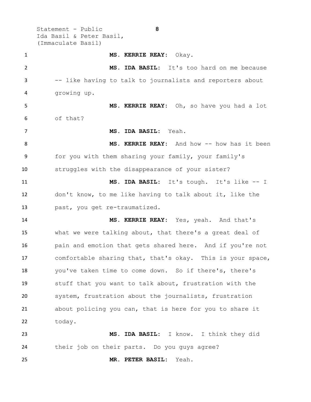Statement - Public **8** Ida Basil & Peter Basil, (Immaculate Basil)

 **MS. KERRIE REAY:** Okay. **MS. IDA BASIL:** It's too hard on me because -- like having to talk to journalists and reporters about growing up. **MS. KERRIE REAY:** Oh, so have you had a lot of that? **MS. IDA BASIL:** Yeah. **MS. KERRIE REAY:** And how -- how has it been for you with them sharing your family, your family's struggles with the disappearance of your sister? **MS. IDA BASIL:** It's tough. It's like -- I don't know, to me like having to talk about it, like the past, you get re-traumatized. **MS. KERRIE REAY:** Yes, yeah. And that's what we were talking about, that there's a great deal of pain and emotion that gets shared here. And if you're not comfortable sharing that, that's okay. This is your space, you've taken time to come down. So if there's, there's stuff that you want to talk about, frustration with the system, frustration about the journalists, frustration about policing you can, that is here for you to share it today. **MS. IDA BASIL:** I know. I think they did their job on their parts. Do you guys agree?

**MR. PETER BASIL:** Yeah.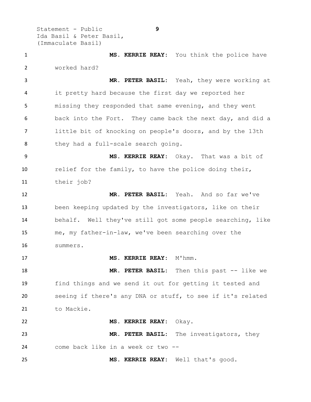Statement - Public **9** Ida Basil & Peter Basil, (Immaculate Basil)

 **MS. KERRIE REAY:** You think the police have worked hard?

 **MR. PETER BASIL:** Yeah, they were working at it pretty hard because the first day we reported her missing they responded that same evening, and they went back into the Fort. They came back the next day, and did a little bit of knocking on people's doors, and by the 13th 8 they had a full-scale search going.

 **MS. KERRIE REAY:** Okay. That was a bit of relief for the family, to have the police doing their, their job?

 **MR. PETER BASIL:** Yeah. And so far we've been keeping updated by the investigators, like on their behalf. Well they've still got some people searching, like me, my father-in-law, we've been searching over the summers.

**MS. KERRIE REAY:** M'hmm.

 **MR. PETER BASIL:** Then this past -- like we find things and we send it out for getting it tested and seeing if there's any DNA or stuff, to see if it's related 21 to Mackie.

 **MS. KERRIE REAY:** Okay. **MR. PETER BASIL:** The investigators, they come back like in a week or two --

**MS. KERRIE REAY:** Well that's good.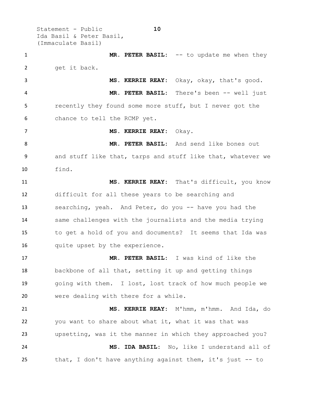Statement - Public **10** Ida Basil & Peter Basil, (Immaculate Basil)

 **MR. PETER BASIL:** -- to update me when they 2 get it back. **MS. KERRIE REAY:** Okay, okay, that's good. **MR. PETER BASIL:** There's been -- well just recently they found some more stuff, but I never got the

chance to tell the RCMP yet.

**MS. KERRIE REAY:** Okay.

 **MR. PETER BASIL:** And send like bones out and stuff like that, tarps and stuff like that, whatever we find.

 **MS. KERRIE REAY:** That's difficult, you know difficult for all these years to be searching and searching, yeah. And Peter, do you -- have you had the same challenges with the journalists and the media trying to get a hold of you and documents? It seems that Ida was 16 quite upset by the experience.

 **MR. PETER BASIL:** I was kind of like the backbone of all that, setting it up and getting things going with them. I lost, lost track of how much people we were dealing with there for a while.

 **MS. KERRIE REAY:** M'hmm, m'hmm. And Ida, do you want to share about what it, what it was that was upsetting, was it the manner in which they approached you? **MS. IDA BASIL:** No, like I understand all of that, I don't have anything against them, it's just -- to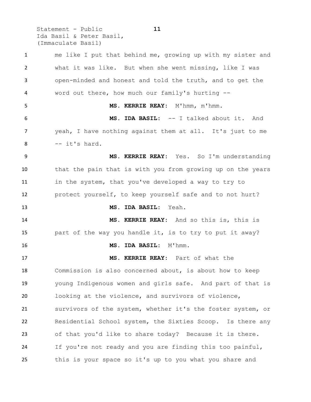Statement - Public **11** Ida Basil & Peter Basil, (Immaculate Basil)

 me like I put that behind me, growing up with my sister and what it was like. But when she went missing, like I was open-minded and honest and told the truth, and to get the word out there, how much our family's hurting -- **MS. KERRIE REAY:** M'hmm, m'hmm. **MS. IDA BASIL:** -- I talked about it. And yeah, I have nothing against them at all. It's just to me  $8 \qquad -i$  it's hard. **MS. KERRIE REAY:** Yes. So I'm understanding that the pain that is with you from growing up on the years 11 in the system, that you've developed a way to try to protect yourself, to keep yourself safe and to not hurt? **MS. IDA BASIL:** Yeah. **MS. KERRIE REAY:** And so this is, this is part of the way you handle it, is to try to put it away? **MS. IDA BASIL:** M'hmm. **MS. KERRIE REAY:** Part of what the Commission is also concerned about, is about how to keep young Indigenous women and girls safe. And part of that is looking at the violence, and survivors of violence, survivors of the system, whether it's the foster system, or Residential School system, the Sixties Scoop. Is there any of that you'd like to share today? Because it is there. If you're not ready and you are finding this too painful, this is your space so it's up to you what you share and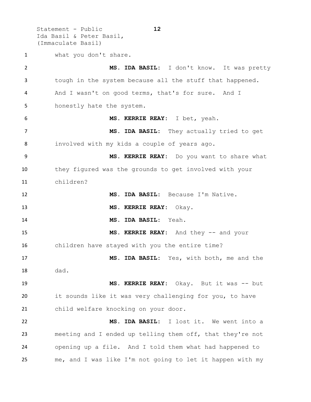Statement - Public **12** Ida Basil & Peter Basil, (Immaculate Basil)

what you don't share.

 **MS. IDA BASIL:** I don't know. It was pretty tough in the system because all the stuff that happened. And I wasn't on good terms, that's for sure. And I honestly hate the system. **MS. KERRIE REAY:** I bet, yeah. 7 MS. IDA BASIL: They actually tried to get involved with my kids a couple of years ago. **MS. KERRIE REAY:** Do you want to share what they figured was the grounds to get involved with your children? **MS. IDA BASIL:** Because I'm Native. **MS. KERRIE REAY:** Okay. **MS. IDA BASIL:** Yeah. **MS. KERRIE REAY:** And they -- and your children have stayed with you the entire time? **MS. IDA BASIL:** Yes, with both, me and the dad. **MS. KERRIE REAY:** Okay. But it was -- but it sounds like it was very challenging for you, to have child welfare knocking on your door. **MS. IDA BASIL:** I lost it. We went into a meeting and I ended up telling them off, that they're not opening up a file. And I told them what had happened to me, and I was like I'm not going to let it happen with my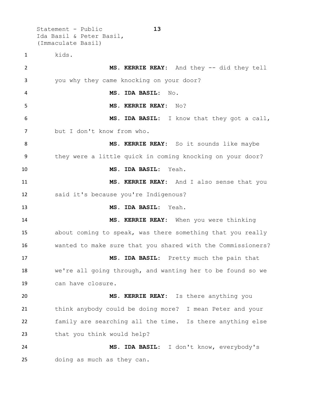Statement - Public **13** Ida Basil & Peter Basil, (Immaculate Basil) kids. **MS. KERRIE REAY:** And they -- did they tell you why they came knocking on your door? **MS. IDA BASIL:** No. **MS. KERRIE REAY:** No? **MS. IDA BASIL:** I know that they got a call, but I don't know from who. **MS. KERRIE REAY:** So it sounds like maybe they were a little quick in coming knocking on your door? **MS. IDA BASIL:** Yeah. **MS. KERRIE REAY:** And I also sense that you said it's because you're Indigenous? **MS. IDA BASIL:** Yeah. **MS. KERRIE REAY:** When you were thinking about coming to speak, was there something that you really wanted to make sure that you shared with the Commissioners? **MS. IDA BASIL:** Pretty much the pain that we're all going through, and wanting her to be found so we can have closure. **MS. KERRIE REAY:** Is there anything you think anybody could be doing more? I mean Peter and your family are searching all the time. Is there anything else 23 that you think would help? **MS. IDA BASIL:** I don't know, everybody's doing as much as they can.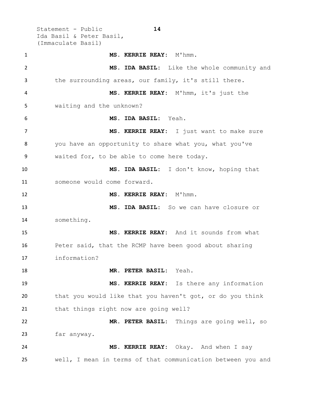Statement - Public **14** Ida Basil & Peter Basil, (Immaculate Basil) **MS. KERRIE REAY:** M'hmm. **MS. IDA BASIL:** Like the whole community and the surrounding areas, our family, it's still there. **MS. KERRIE REAY:** M'hmm, it's just the waiting and the unknown? **MS. IDA BASIL:** Yeah. 7 MS. KERRIE REAY: I just want to make sure you have an opportunity to share what you, what you've waited for, to be able to come here today. **MS. IDA BASIL:** I don't know, hoping that someone would come forward. **MS. KERRIE REAY:** M'hmm. **MS. IDA BASIL:** So we can have closure or something. **MS. KERRIE REAY:** And it sounds from what Peter said, that the RCMP have been good about sharing information? **MR. PETER BASIL:** Yeah. **MS. KERRIE REAY:** Is there any information that you would like that you haven't got, or do you think that things right now are going well? **MR. PETER BASIL:** Things are going well, so far anyway. **MS. KERRIE REAY:** Okay. And when I say well, I mean in terms of that communication between you and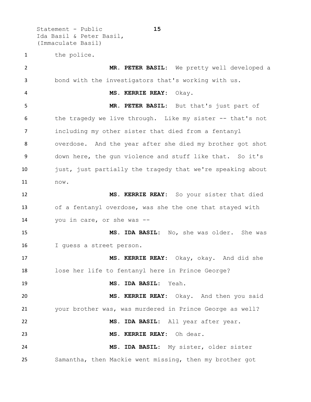Statement - Public **15** Ida Basil & Peter Basil, (Immaculate Basil)

the police.

 **MR. PETER BASIL:** We pretty well developed a bond with the investigators that's working with us. **MS. KERRIE REAY:** Okay. **MR. PETER BASIL:** But that's just part of the tragedy we live through. Like my sister -- that's not including my other sister that died from a fentanyl overdose. And the year after she died my brother got shot down here, the gun violence and stuff like that. So it's 10 just, just partially the tragedy that we're speaking about now. **MS. KERRIE REAY:** So your sister that died of a fentanyl overdose, was she the one that stayed with you in care, or she was -- **MS. IDA BASIL:** No, she was older. She was I guess a street person. **MS. KERRIE REAY:** Okay, okay. And did she lose her life to fentanyl here in Prince George? **MS. IDA BASIL:** Yeah. **MS. KERRIE REAY:** Okay. And then you said your brother was, was murdered in Prince George as well? **MS. IDA BASIL:** All year after year. **MS. KERRIE REAY:** Oh dear. **MS. IDA BASIL:** My sister, older sister Samantha, then Mackie went missing, then my brother got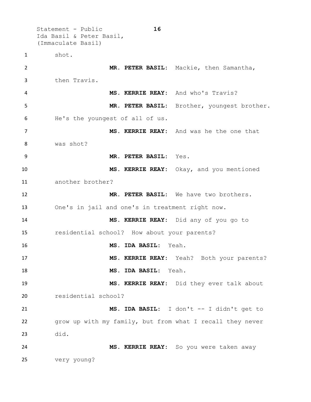Statement - Public **16** Ida Basil & Peter Basil, (Immaculate Basil) shot. **MR. PETER BASIL:** Mackie, then Samantha, then Travis. **MS. KERRIE REAY:** And who's Travis? **MR. PETER BASIL:** Brother, youngest brother. He's the youngest of all of us. **MS. KERRIE REAY:** And was he the one that was shot? **MR. PETER BASIL:** Yes. **MS. KERRIE REAY:** Okay, and you mentioned another brother? **MR. PETER BASIL:** We have two brothers. One's in jail and one's in treatment right now. **MS. KERRIE REAY:** Did any of you go to residential school? How about your parents? **MS. IDA BASIL:** Yeah. **MS. KERRIE REAY:** Yeah? Both your parents? **MS. IDA BASIL:** Yeah. **MS. KERRIE REAY:** Did they ever talk about residential school? **MS. IDA BASIL:** I don't -- I didn't get to grow up with my family, but from what I recall they never did. **MS. KERRIE REAY:** So you were taken away very young?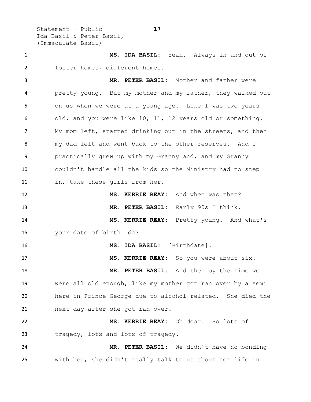Statement - Public **17** Ida Basil & Peter Basil, (Immaculate Basil)

 **MS. IDA BASIL:** Yeah. Always in and out of foster homes, different homes.

 **MR. PETER BASIL:** Mother and father were pretty young. But my mother and my father, they walked out on us when we were at a young age. Like I was two years old, and you were like 10, 11, 12 years old or something. My mom left, started drinking out in the streets, and then my dad left and went back to the other reserves. And I practically grew up with my Granny and, and my Granny couldn't handle all the kids so the Ministry had to step in, take these girls from her.

 **MS. KERRIE REAY:** And when was that? **MR. PETER BASIL:** Early 90s I think. **MS. KERRIE REAY:** Pretty young. And what's your date of birth Ida?

 **MS. IDA BASIL:** [Birthdate]. **MS. KERRIE REAY:** So you were about six. **MR. PETER BASIL:** And then by the time we were all old enough, like my mother got ran over by a semi here in Prince George due to alcohol related. She died the next day after she got ran over.

 **MS. KERRIE REAY:** Oh dear. So lots of 23 tragedy, lots and lots of tragedy.

 **MR. PETER BASIL:** We didn't have no bonding with her, she didn't really talk to us about her life in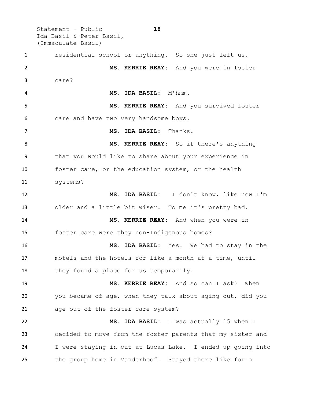Statement - Public **18** Ida Basil & Peter Basil, (Immaculate Basil) residential school or anything. So she just left us. **MS. KERRIE REAY:** And you were in foster care? **MS. IDA BASIL:** M'hmm. **MS. KERRIE REAY:** And you survived foster care and have two very handsome boys. **MS. IDA BASIL:** Thanks. **MS. KERRIE REAY:** So if there's anything that you would like to share about your experience in foster care, or the education system, or the health systems? **MS. IDA BASIL:** I don't know, like now I'm older and a little bit wiser. To me it's pretty bad. **MS. KERRIE REAY:** And when you were in foster care were they non-Indigenous homes? **MS. IDA BASIL:** Yes. We had to stay in the motels and the hotels for like a month at a time, until 18 they found a place for us temporarily. **MS. KERRIE REAY:** And so can I ask? When you became of age, when they talk about aging out, did you 21 age out of the foster care system? **MS. IDA BASIL:** I was actually 15 when I decided to move from the foster parents that my sister and I were staying in out at Lucas Lake. I ended up going into the group home in Vanderhoof. Stayed there like for a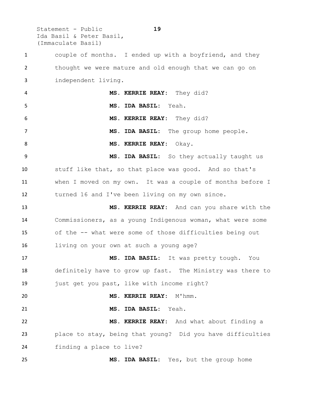Statement - Public **19** Ida Basil & Peter Basil, (Immaculate Basil)

 couple of months. I ended up with a boyfriend, and they thought we were mature and old enough that we can go on independent living. **MS. KERRIE REAY:** They did? **MS. IDA BASIL:** Yeah. **MS. KERRIE REAY:** They did?

 **MS. IDA BASIL:** The group home people. **MS. KERRIE REAY:** Okay.

 **MS. IDA BASIL:** So they actually taught us stuff like that, so that place was good. And so that's when I moved on my own. It was a couple of months before I turned 16 and I've been living on my own since.

 **MS. KERRIE REAY:** And can you share with the Commissioners, as a young Indigenous woman, what were some of the -- what were some of those difficulties being out living on your own at such a young age?

 **MS. IDA BASIL:** It was pretty tough. You definitely have to grow up fast. The Ministry was there to just get you past, like with income right?

 **MS. KERRIE REAY:** M'hmm. **MS. IDA BASIL:** Yeah. **MS. KERRIE REAY:** And what about finding a place to stay, being that young? Did you have difficulties finding a place to live?

**MS. IDA BASIL:** Yes, but the group home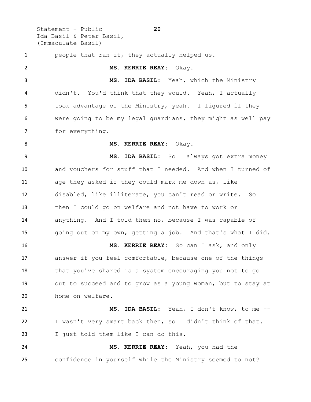Statement - Public **20** Ida Basil & Peter Basil, (Immaculate Basil)

 people that ran it, they actually helped us. **MS. KERRIE REAY:** Okay. **MS. IDA BASIL:** Yeah, which the Ministry didn't. You'd think that they would. Yeah, I actually took advantage of the Ministry, yeah. I figured if they were going to be my legal guardians, they might as well pay for everything. **MS. KERRIE REAY:** Okay. **MS. IDA BASIL:** So I always got extra money and vouchers for stuff that I needed. And when I turned of age they asked if they could mark me down as, like disabled, like illiterate, you can't read or write. So then I could go on welfare and not have to work or anything. And I told them no, because I was capable of going out on my own, getting a job. And that's what I did. **MS. KERRIE REAY:** So can I ask, and only answer if you feel comfortable, because one of the things that you've shared is a system encouraging you not to go out to succeed and to grow as a young woman, but to stay at home on welfare. **MS. IDA BASIL:** Yeah, I don't know, to me -- I wasn't very smart back then, so I didn't think of that. I just told them like I can do this. **MS. KERRIE REAY:** Yeah, you had the confidence in yourself while the Ministry seemed to not?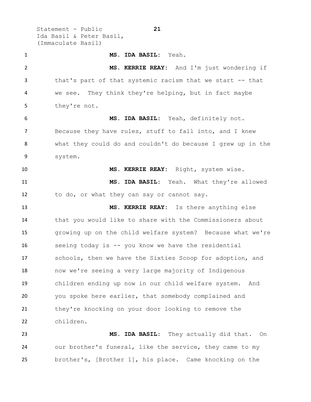Statement - Public **21** Ida Basil & Peter Basil, (Immaculate Basil)

 **MS. IDA BASIL:** Yeah. **MS. KERRIE REAY:** And I'm just wondering if that's part of that systemic racism that we start -- that we see. They think they're helping, but in fact maybe they're not. **MS. IDA BASIL:** Yeah, definitely not. Because they have rules, stuff to fall into, and I knew what they could do and couldn't do because I grew up in the system. **MS. KERRIE REAY:** Right, system wise. **MS. IDA BASIL:** Yeah. What they're allowed to do, or what they can say or cannot say. **MS. KERRIE REAY:** Is there anything else that you would like to share with the Commissioners about growing up on the child welfare system? Because what we're seeing today is -- you know we have the residential schools, then we have the Sixties Scoop for adoption, and now we're seeing a very large majority of Indigenous children ending up now in our child welfare system. And you spoke here earlier, that somebody complained and 21 they're knocking on your door looking to remove the children. **MS. IDA BASIL:** They actually did that. On

 our brother's funeral, like the service, they came to my brother's, [Brother 1], his place. Came knocking on the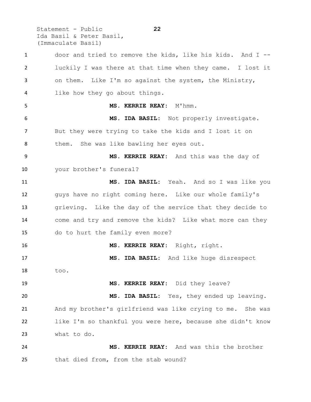Statement - Public **22** Ida Basil & Peter Basil, (Immaculate Basil)

 door and tried to remove the kids, like his kids. And I -- luckily I was there at that time when they came. I lost it on them. Like I'm so against the system, the Ministry, like how they go about things. **MS. KERRIE REAY:** M'hmm. **MS. IDA BASIL:** Not properly investigate. But they were trying to take the kids and I lost it on 8 them. She was like bawling her eyes out. **MS. KERRIE REAY:** And this was the day of your brother's funeral? **MS. IDA BASIL:** Yeah. And so I was like you guys have no right coming here. Like our whole family's grieving. Like the day of the service that they decide to come and try and remove the kids? Like what more can they do to hurt the family even more? **MS. KERRIE REAY:** Right, right. **MS. IDA BASIL:** And like huge disrespect too. **MS. KERRIE REAY:** Did they leave? **MS. IDA BASIL:** Yes, they ended up leaving. And my brother's girlfriend was like crying to me. She was like I'm so thankful you were here, because she didn't know what to do. **MS. KERRIE REAY:** And was this the brother that died from, from the stab wound?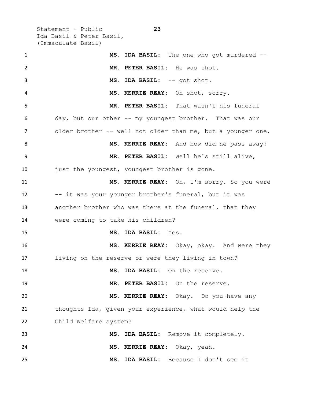Statement - Public **23** Ida Basil & Peter Basil, (Immaculate Basil)

 **MS. IDA BASIL:** The one who got murdered -- **MR. PETER BASIL:** He was shot. 3 MS. IDA BASIL: -- got shot. **MS. KERRIE REAY:** Oh shot, sorry. **MR. PETER BASIL:** That wasn't his funeral day, but our other -- my youngest brother. That was our 7 older brother -- well not older than me, but a younger one. **MS. KERRIE REAY:** And how did he pass away? **MR. PETER BASIL:** Well he's still alive, just the youngest, youngest brother is gone. **MS. KERRIE REAY:** Oh, I'm sorry. So you were 12 -- it was your younger brother's funeral, but it was another brother who was there at the funeral, that they were coming to take his children? **MS. IDA BASIL:** Yes. **MS. KERRIE REAY:** Okay, okay. And were they living on the reserve or were they living in town? **MS. IDA BASIL:** On the reserve. **MR. PETER BASIL:** On the reserve. **MS. KERRIE REAY:** Okay. Do you have any thoughts Ida, given your experience, what would help the Child Welfare system? **MS. IDA BASIL:** Remove it completely. **MS. KERRIE REAY:** Okay, yeah. **MS. IDA BASIL:** Because I don't see it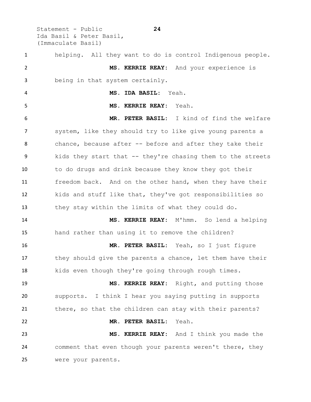Statement - Public **24** Ida Basil & Peter Basil, (Immaculate Basil)

 helping. All they want to do is control Indigenous people. **MS. KERRIE REAY:** And your experience is being in that system certainly. **MS. IDA BASIL:** Yeah. **MS. KERRIE REAY:** Yeah. **MR. PETER BASIL:** I kind of find the welfare system, like they should try to like give young parents a chance, because after -- before and after they take their kids they start that -- they're chasing them to the streets to do drugs and drink because they know they got their freedom back. And on the other hand, when they have their kids and stuff like that, they've got responsibilities so they stay within the limits of what they could do. **MS. KERRIE REAY:** M'hmm. So lend a helping hand rather than using it to remove the children? **MR. PETER BASIL:** Yeah, so I just figure they should give the parents a chance, let them have their 18 kids even though they're going through rough times. **MS. KERRIE REAY:** Right, and putting those supports. I think I hear you saying putting in supports 21 there, so that the children can stay with their parents? **MR. PETER BASIL:** Yeah. **MS. KERRIE REAY:** And I think you made the comment that even though your parents weren't there, they were your parents.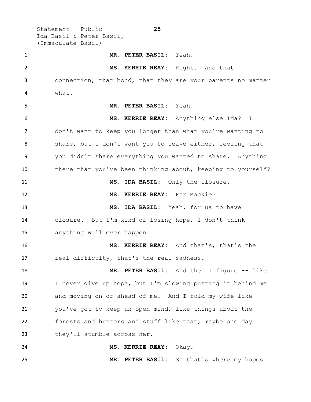Statement - Public **25** Ida Basil & Peter Basil, (Immaculate Basil) **MR. PETER BASIL:** Yeah. **MS. KERRIE REAY:** Right. And that connection, that bond, that they are your parents no matter what. **MR. PETER BASIL:** Yeah. **MS. KERRIE REAY:** Anything else Ida? I don't want to keep you longer than what you're wanting to share, but I don't want you to leave either, feeling that you didn't share everything you wanted to share. Anything there that you've been thinking about, keeping to yourself? **MS. IDA BASIL:** Only the closure. **MS. KERRIE REAY:** For Mackie? **MS. IDA BASIL:** Yeah, for us to have closure. But I'm kind of losing hope, I don't think anything will ever happen. **MS. KERRIE REAY:** And that's, that's the 17 real difficulty, that's the real sadness. **MR. PETER BASIL:** And then I figure -- like I never give up hope, but I'm slowing putting it behind me and moving on or ahead of me. And I told my wife like you've got to keep an open mind, like things about the forests and hunters and stuff like that, maybe one day 23 they'll stumble across her. **MS. KERRIE REAY:** Okay.

**MR. PETER BASIL:** So that's where my hopes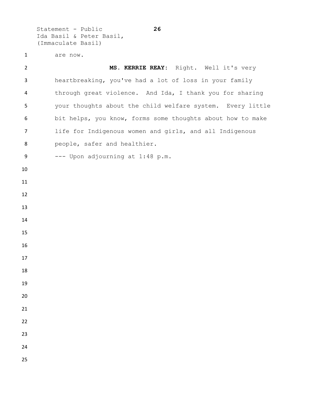Statement - Public **26** Ida Basil & Peter Basil, (Immaculate Basil)

are now.

 **MS. KERRIE REAY:** Right. Well it's very heartbreaking, you've had a lot of loss in your family through great violence. And Ida, I thank you for sharing your thoughts about the child welfare system. Every little bit helps, you know, forms some thoughts about how to make life for Indigenous women and girls, and all Indigenous people, safer and healthier. --- Upon adjourning at 1:48 p.m.